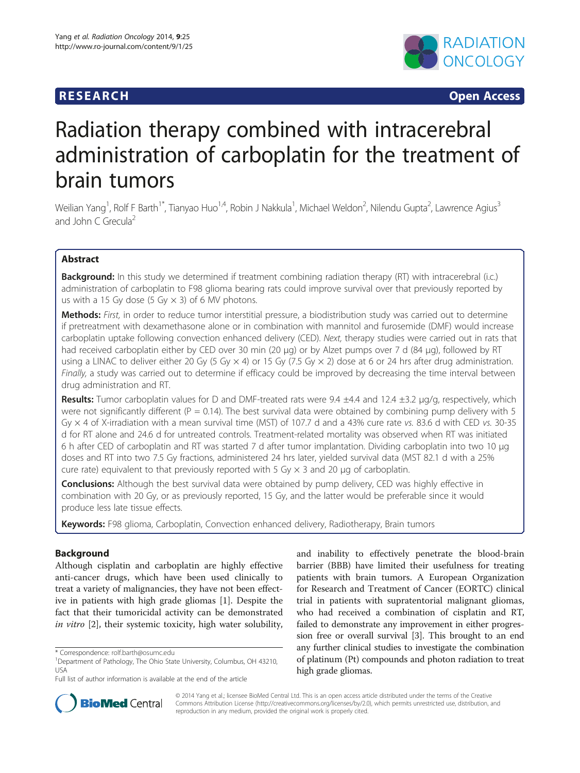## **RESEARCH CHINESE ARCH CHINESE ARCH CHINESE ARCH**



# Radiation therapy combined with intracerebral administration of carboplatin for the treatment of brain tumors

Weilian Yang<sup>1</sup>, Rolf F Barth<sup>1\*</sup>, Tianyao Huo<sup>1,4</sup>, Robin J Nakkula<sup>1</sup>, Michael Weldon<sup>2</sup>, Nilendu Gupta<sup>2</sup>, Lawrence Agius<sup>3</sup> and John C Grecula<sup>2</sup>

## Abstract

Background: In this study we determined if treatment combining radiation therapy (RT) with intracerebral (i.c.) administration of carboplatin to F98 glioma bearing rats could improve survival over that previously reported by us with a 15 Gy dose (5 Gy  $\times$  3) of 6 MV photons.

Methods: First, in order to reduce tumor interstitial pressure, a biodistribution study was carried out to determine if pretreatment with dexamethasone alone or in combination with mannitol and furosemide (DMF) would increase carboplatin uptake following convection enhanced delivery (CED). Next, therapy studies were carried out in rats that had received carboplatin either by CED over 30 min (20 μg) or by Alzet pumps over 7 d (84 μg), followed by RT using a LINAC to deliver either 20 Gy (5 Gy  $\times$  4) or 15 Gy (7.5 Gy  $\times$  2) dose at 6 or 24 hrs after drug administration. Finally, a study was carried out to determine if efficacy could be improved by decreasing the time interval between drug administration and RT.

Results: Tumor carboplatin values for D and DMF-treated rats were 9.4 ±4.4 and 12.4 ±3.2 μg/g, respectively, which were not significantly different ( $P = 0.14$ ). The best survival data were obtained by combining pump delivery with 5 Gy  $\times$  4 of X-irradiation with a mean survival time (MST) of 107.7 d and a 43% cure rate vs. 83.6 d with CED vs. 30-35 d for RT alone and 24.6 d for untreated controls. Treatment-related mortality was observed when RT was initiated 6 h after CED of carboplatin and RT was started 7 d after tumor implantation. Dividing carboplatin into two 10 μg doses and RT into two 7.5 Gy fractions, administered 24 hrs later, yielded survival data (MST 82.1 d with a 25% cure rate) equivalent to that previously reported with 5 Gy  $\times$  3 and 20 µg of carboplatin.

**Conclusions:** Although the best survival data were obtained by pump delivery, CED was highly effective in combination with 20 Gy, or as previously reported, 15 Gy, and the latter would be preferable since it would produce less late tissue effects.

Keywords: F98 glioma, Carboplatin, Convection enhanced delivery, Radiotherapy, Brain tumors

## Background

Although cisplatin and carboplatin are highly effective anti-cancer drugs, which have been used clinically to treat a variety of malignancies, they have not been effective in patients with high grade gliomas [[1\]](#page-7-0). Despite the fact that their tumoricidal activity can be demonstrated in vitro [[2\]](#page-7-0), their systemic toxicity, high water solubility,

and inability to effectively penetrate the blood-brain barrier (BBB) have limited their usefulness for treating patients with brain tumors. A European Organization for Research and Treatment of Cancer (EORTC) clinical trial in patients with supratentorial malignant gliomas, who had received a combination of cisplatin and RT, failed to demonstrate any improvement in either progression free or overall survival [\[3\]](#page-7-0). This brought to an end any further clinical studies to investigate the combination of platinum (Pt) compounds and photon radiation to treat high grade gliomas.



© 2014 Yang et al.; licensee BioMed Central Ltd. This is an open access article distributed under the terms of the Creative Commons Attribution License [\(http://creativecommons.org/licenses/by/2.0\)](http://creativecommons.org/licenses/by/2.0), which permits unrestricted use, distribution, and reproduction in any medium, provided the original work is properly cited.

<sup>\*</sup> Correspondence: [rolf.barth@osumc.edu](mailto:rolf.barth@osumc.edu) <sup>1</sup>

<sup>&</sup>lt;sup>1</sup>Department of Pathology, The Ohio State University, Columbus, OH 43210, USA

Full list of author information is available at the end of the article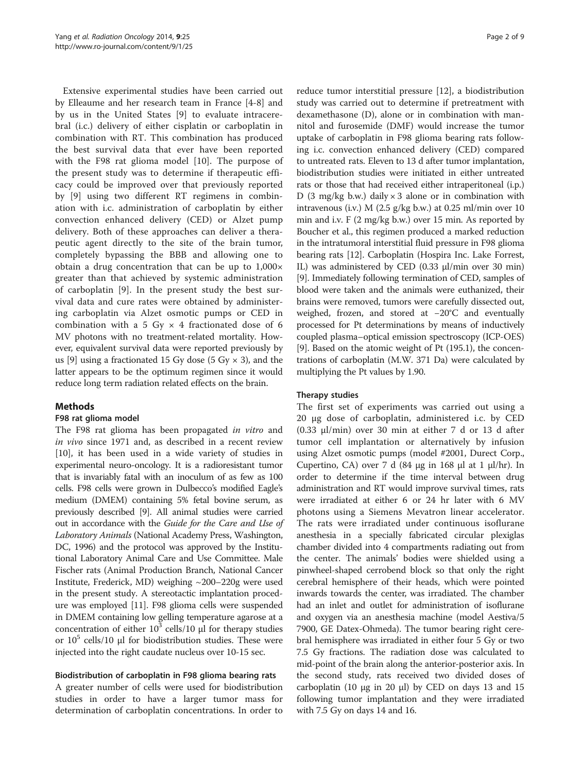Extensive experimental studies have been carried out by Elleaume and her research team in France [\[4](#page-7-0)-[8\]](#page-7-0) and by us in the United States [[9\]](#page-7-0) to evaluate intracerebral (i.c.) delivery of either cisplatin or carboplatin in combination with RT. This combination has produced the best survival data that ever have been reported with the F98 rat glioma model [\[10](#page-7-0)]. The purpose of the present study was to determine if therapeutic efficacy could be improved over that previously reported by [\[9](#page-7-0)] using two different RT regimens in combination with i.c. administration of carboplatin by either convection enhanced delivery (CED) or Alzet pump delivery. Both of these approaches can deliver a therapeutic agent directly to the site of the brain tumor, completely bypassing the BBB and allowing one to obtain a drug concentration that can be up to 1,000× greater than that achieved by systemic administration of carboplatin [[9\]](#page-7-0). In the present study the best survival data and cure rates were obtained by administering carboplatin via Alzet osmotic pumps or CED in combination with a 5 Gy  $\times$  4 fractionated dose of 6 MV photons with no treatment-related mortality. However, equivalent survival data were reported previously by us [[9](#page-7-0)] using a fractionated 15 Gy dose (5 Gy  $\times$  3), and the latter appears to be the optimum regimen since it would reduce long term radiation related effects on the brain.

## Methods

## F98 rat glioma model

The F98 rat glioma has been propagated in vitro and in vivo since 1971 and, as described in a recent review [[10\]](#page-7-0), it has been used in a wide variety of studies in experimental neuro-oncology. It is a radioresistant tumor that is invariably fatal with an inoculum of as few as 100 cells. F98 cells were grown in Dulbecco's modified Eagle's medium (DMEM) containing 5% fetal bovine serum, as previously described [\[9\]](#page-7-0). All animal studies were carried out in accordance with the Guide for the Care and Use of Laboratory Animals (National Academy Press, Washington, DC, 1996) and the protocol was approved by the Institutional Laboratory Animal Care and Use Committee. Male Fischer rats (Animal Production Branch, National Cancer Institute, Frederick, MD) weighing ~200–220g were used in the present study. A stereotactic implantation procedure was employed [[11](#page-7-0)]. F98 glioma cells were suspended in DMEM containing low gelling temperature agarose at a concentration of either  $10<sup>3</sup>$  cells/10  $\mu$ l for therapy studies or  $10<sup>5</sup>$  cells/10 μl for biodistribution studies. These were injected into the right caudate nucleus over 10-15 sec.

## Biodistribution of carboplatin in F98 glioma bearing rats

A greater number of cells were used for biodistribution studies in order to have a larger tumor mass for determination of carboplatin concentrations. In order to

reduce tumor interstitial pressure [\[12\]](#page-7-0), a biodistribution study was carried out to determine if pretreatment with dexamethasone (D), alone or in combination with mannitol and furosemide (DMF) would increase the tumor uptake of carboplatin in F98 glioma bearing rats following i.c. convection enhanced delivery (CED) compared to untreated rats. Eleven to 13 d after tumor implantation, biodistribution studies were initiated in either untreated rats or those that had received either intraperitoneal (i.p.) D (3 mg/kg b.w.) daily  $\times$  3 alone or in combination with intravenous (i.v.) M  $(2.5 \text{ g/kg b.w.})$  at 0.25 ml/min over 10 min and i.v. F (2 mg/kg b.w.) over 15 min. As reported by Boucher et al., this regimen produced a marked reduction in the intratumoral interstitial fluid pressure in F98 glioma bearing rats [\[12](#page-7-0)]. Carboplatin (Hospira Inc. Lake Forrest, IL) was administered by CED (0.33 μl/min over 30 min) [[9\]](#page-7-0). Immediately following termination of CED, samples of blood were taken and the animals were euthanized, their brains were removed, tumors were carefully dissected out, weighed, frozen, and stored at −20°C and eventually processed for Pt determinations by means of inductively coupled plasma–optical emission spectroscopy (ICP-OES) [[9\]](#page-7-0). Based on the atomic weight of Pt (195.1), the concentrations of carboplatin (M.W. 371 Da) were calculated by multiplying the Pt values by 1.90.

## Therapy studies

The first set of experiments was carried out using a 20 μg dose of carboplatin, administered i.c. by CED (0.33 μl/min) over 30 min at either 7 d or 13 d after tumor cell implantation or alternatively by infusion using Alzet osmotic pumps (model #2001, Durect Corp., Cupertino, CA) over 7 d (84 μg in 168 μl at 1 μl/hr). In order to determine if the time interval between drug administration and RT would improve survival times, rats were irradiated at either 6 or 24 hr later with 6 MV photons using a Siemens Mevatron linear accelerator. The rats were irradiated under continuous isoflurane anesthesia in a specially fabricated circular plexiglas chamber divided into 4 compartments radiating out from the center. The animals' bodies were shielded using a pinwheel-shaped cerrobend block so that only the right cerebral hemisphere of their heads, which were pointed inwards towards the center, was irradiated. The chamber had an inlet and outlet for administration of isoflurane and oxygen via an anesthesia machine (model Aestiva/5 7900, GE Datex-Ohmeda). The tumor bearing right cerebral hemisphere was irradiated in either four 5 Gy or two 7.5 Gy fractions. The radiation dose was calculated to mid-point of the brain along the anterior-posterior axis. In the second study, rats received two divided doses of carboplatin (10 μg in 20 μl) by CED on days 13 and 15 following tumor implantation and they were irradiated with 7.5 Gy on days 14 and 16.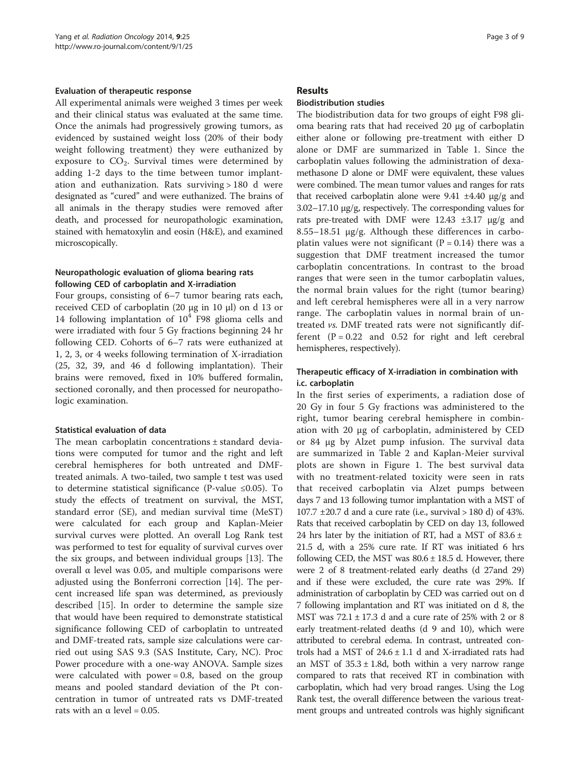#### Evaluation of therapeutic response

All experimental animals were weighed 3 times per week and their clinical status was evaluated at the same time. Once the animals had progressively growing tumors, as evidenced by sustained weight loss (20% of their body weight following treatment) they were euthanized by exposure to  $CO<sub>2</sub>$ . Survival times were determined by adding 1-2 days to the time between tumor implantation and euthanization. Rats surviving > 180 d were designated as "cured" and were euthanized. The brains of all animals in the therapy studies were removed after death, and processed for neuropathologic examination, stained with hematoxylin and eosin (H&E), and examined microscopically.

#### Neuropathologic evaluation of glioma bearing rats following CED of carboplatin and X-irradiation

Four groups, consisting of 6–7 tumor bearing rats each, received CED of carboplatin (20 μg in 10 μl) on d 13 or 14 following implantation of  $10^4$  F98 glioma cells and were irradiated with four 5 Gy fractions beginning 24 hr following CED. Cohorts of 6–7 rats were euthanized at 1, 2, 3, or 4 weeks following termination of X-irradiation (25, 32, 39, and 46 d following implantation). Their brains were removed, fixed in 10% buffered formalin, sectioned coronally, and then processed for neuropathologic examination.

#### Statistical evaluation of data

The mean carboplatin concentrations ± standard deviations were computed for tumor and the right and left cerebral hemispheres for both untreated and DMFtreated animals. A two-tailed, two sample t test was used to determine statistical significance (P-value ≤0.05). To study the effects of treatment on survival, the MST, standard error (SE), and median survival time (MeST) were calculated for each group and Kaplan-Meier survival curves were plotted. An overall Log Rank test was performed to test for equality of survival curves over the six groups, and between individual groups [[13\]](#page-7-0). The overall α level was 0.05, and multiple comparisons were adjusted using the Bonferroni correction [[14](#page-7-0)]. The percent increased life span was determined, as previously described [[15](#page-7-0)]. In order to determine the sample size that would have been required to demonstrate statistical significance following CED of carboplatin to untreated and DMF-treated rats, sample size calculations were carried out using SAS 9.3 (SAS Institute, Cary, NC). Proc Power procedure with a one-way ANOVA. Sample sizes were calculated with power  $= 0.8$ , based on the group means and pooled standard deviation of the Pt concentration in tumor of untreated rats vs DMF-treated rats with an  $\alpha$  level = 0.05.

#### Results

## Biodistribution studies

The biodistribution data for two groups of eight F98 glioma bearing rats that had received 20 μg of carboplatin either alone or following pre-treatment with either D alone or DMF are summarized in Table [1](#page-3-0). Since the carboplatin values following the administration of dexamethasone D alone or DMF were equivalent, these values were combined. The mean tumor values and ranges for rats that received carboplatin alone were 9.41 ±4.40 μg/g and 3.02–17.10 μg/g, respectively. The corresponding values for rats pre-treated with DMF were 12.43 ±3.17 μg/g and  $8.55-18.51$  μg/g. Although these differences in carboplatin values were not significant ( $P = 0.14$ ) there was a suggestion that DMF treatment increased the tumor carboplatin concentrations. In contrast to the broad ranges that were seen in the tumor carboplatin values, the normal brain values for the right (tumor bearing) and left cerebral hemispheres were all in a very narrow range. The carboplatin values in normal brain of untreated vs. DMF treated rats were not significantly different  $(P = 0.22$  and 0.52 for right and left cerebral hemispheres, respectively).

## Therapeutic efficacy of X-irradiation in combination with i.c. carboplatin

In the first series of experiments, a radiation dose of 20 Gy in four 5 Gy fractions was administered to the right, tumor bearing cerebral hemisphere in combination with 20 μg of carboplatin, administered by CED or 84 μg by Alzet pump infusion. The survival data are summarized in Table [2](#page-3-0) and Kaplan-Meier survival plots are shown in Figure [1](#page-4-0). The best survival data with no treatment-related toxicity were seen in rats that received carboplatin via Alzet pumps between days 7 and 13 following tumor implantation with a MST of 107.7  $\pm$ 20.7 d and a cure rate (i.e., survival > 180 d) of 43%. Rats that received carboplatin by CED on day 13, followed 24 hrs later by the initiation of RT, had a MST of  $83.6 \pm$ 21.5 d, with a 25% cure rate. If RT was initiated 6 hrs following CED, the MST was  $80.6 \pm 18.5$  d. However, there were 2 of 8 treatment-related early deaths (d 27and 29) and if these were excluded, the cure rate was 29%. If administration of carboplatin by CED was carried out on d 7 following implantation and RT was initiated on d 8, the MST was  $72.1 \pm 17.3$  d and a cure rate of 25% with 2 or 8 early treatment-related deaths (d 9 and 10), which were attributed to cerebral edema. In contrast, untreated controls had a MST of  $24.6 \pm 1.1$  d and X-irradiated rats had an MST of  $35.3 \pm 1.8d$ , both within a very narrow range compared to rats that received RT in combination with carboplatin, which had very broad ranges. Using the Log Rank test, the overall difference between the various treatment groups and untreated controls was highly significant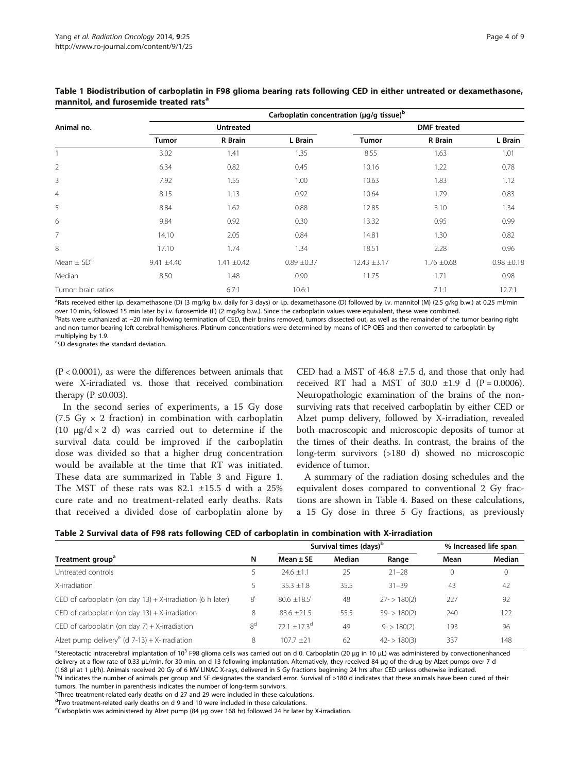| Animal no.               | carbopiatin concentration (µg/g tissue) |                 |               |                    |                 |                 |  |
|--------------------------|-----------------------------------------|-----------------|---------------|--------------------|-----------------|-----------------|--|
|                          | Untreated                               |                 |               | <b>DMF</b> treated |                 |                 |  |
|                          | <b>Tumor</b>                            | R Brain         | L Brain       | Tumor              | R Brain         | L Brain         |  |
|                          | 3.02                                    | 1.41            | 1.35          | 8.55               | 1.63            | 1.01            |  |
| $\overline{2}$           | 6.34                                    | 0.82            | 0.45          | 10.16              | 1.22            | 0.78            |  |
| 3                        | 7.92                                    | 1.55            | 1.00          | 10.63              | 1.83            | 1.12            |  |
| 4                        | 8.15                                    | 1.13            | 0.92          | 10.64              | 1.79            | 0.83            |  |
| 5                        | 8.84                                    | 1.62            | 0.88          | 12.85              | 3.10            | 1.34            |  |
| 6                        | 9.84                                    | 0.92            | 0.30          | 13.32              | 0.95            | 0.99            |  |
| 7                        | 14.10                                   | 2.05            | 0.84          | 14.81              | 1.30            | 0.82            |  |
| 8                        | 17.10                                   | 1.74            | 1.34          | 18.51              | 2.28            | 0.96            |  |
| Mean $\pm$ SD $^{\rm c}$ | $9.41 \pm 4.40$                         | $1.41 \pm 0.42$ | $0.89 + 0.37$ | $12.43 \pm 3.17$   | $1.76 \pm 0.68$ | $0.98 \pm 0.18$ |  |
| Median                   | 8.50                                    | 1.48            | 0.90          | 11.75              | 1.71            | 0.98            |  |
| Tumor: brain ratios      |                                         | 6.7:1           | 10.6:1        |                    | 7.1:1           | 12.7:1          |  |

<span id="page-3-0"></span>Table 1 Biodistribution of carboplatin in F98 glioma bearing rats following CED in either untreated or dexamethasone, mannitol, and furosemide treated rats<sup>a</sup>

Carboplatin concentration (μg/g tissue)<sup>b</sup>

<sup>a</sup>Rats received either i.p. dexamethasone (D) (3 mg/kg b.v. daily for 3 days) or i.p. dexamethasone (D) followed by i.v. mannitol (M) (2.5 g/kg b.w.) at 0.25 ml/min over 10 min, followed 15 min later by i.v. furosemide (F) (2 mg/kg b.w.). Since the carboplatin values were equivalent, these were combined.

<sup>b</sup>Rats were euthanized at ∼20 min following termination of CED, their brains removed, tumors dissected out, as well as the remainder of the tumor bearing right and non-tumor bearing left cerebral hemispheres. Platinum concentrations were determined by means of ICP-OES and then converted to carboplatin by multiplying by 1.9.

<sup>c</sup>SD designates the standard deviation.

(P < 0.0001), as were the differences between animals that were X-irradiated vs. those that received combination therapy ( $P \leq 0.003$ ).

In the second series of experiments, a 15 Gy dose (7.5 Gy  $\times$  2 fraction) in combination with carboplatin (10  $\mu$ g/d × 2 d) was carried out to determine if the survival data could be improved if the carboplatin dose was divided so that a higher drug concentration would be available at the time that RT was initiated. These data are summarized in Table [3](#page-4-0) and Figure [1](#page-4-0). The MST of these rats was 82.1 ±15.5 d with a 25% cure rate and no treatment-related early deaths. Rats that received a divided dose of carboplatin alone by

CED had a MST of  $46.8 \pm 7.5$  d, and those that only had received RT had a MST of 30.0  $\pm 1.9$  d (P = 0.0006). Neuropathologic examination of the brains of the nonsurviving rats that received carboplatin by either CED or Alzet pump delivery, followed by X-irradiation, revealed both macroscopic and microscopic deposits of tumor at the times of their deaths. In contrast, the brains of the long-term survivors (>180 d) showed no microscopic evidence of tumor.

A summary of the radiation dosing schedules and the equivalent doses compared to conventional 2 Gy fractions are shown in Table [4](#page-5-0). Based on these calculations, a 15 Gy dose in three 5 Gy fractions, as previously

|  |  |  | Table 2 Survival data of F98 rats following CED of carboplatin in combination with X-irradiation |
|--|--|--|--------------------------------------------------------------------------------------------------|
|--|--|--|--------------------------------------------------------------------------------------------------|

|                                                               |                | Survival times (days) <sup>b</sup> |        |               | % Increased life span |        |
|---------------------------------------------------------------|----------------|------------------------------------|--------|---------------|-----------------------|--------|
| Treatment group <sup>a</sup>                                  | N              | Mean $\pm$ SE                      | Median | Range         | Mean                  | Median |
| Untreated controls                                            |                | $24.6 \pm 1.1$                     | 25     | $21 - 28$     | 0                     | 0      |
| X-irradiation                                                 | 5.             | $35.3 + 1.8$                       | 35.5   | $31 - 39$     | 43                    | 42     |
| CED of carboplatin (on day $13$ ) + X-irradiation (6 h later) | 8 <sup>c</sup> | $80.6 + 18.5$ <sup>c</sup>         | 48     | $27 - 180(2)$ | 227                   | 92     |
| CED of carboplatin (on day $13$ ) + X-irradiation             | 8              | $83.6 + 21.5$                      | 55.5   | $39 - 180(2)$ | 240                   | 122    |
| CED of carboplatin (on day $7$ ) + X-irradiation              | 8 <sup>d</sup> | $72.1 + 17.3$ <sup>d</sup>         | 49     | $9 - 180(2)$  | 193                   | 96     |
| Alzet pump delivery <sup>e</sup> (d $7-13$ ) + X-irradiation  | 8              | $107.7 + 21$                       | 62     | $42 - 180(3)$ | 337                   | 148    |

a<br><sup>a</sup>Stereotactic intracerebral implantation of 10<sup>3</sup> F98 glioma cells was carried out on d 0. Carboplatin (20 μg in 10 μL) was administered by convectionenhanced delivery at a flow rate of 0.33 μL/min. for 30 min. on d 13 following implantation. Alternatively, they received 84 μg of the drug by Alzet pumps over 7 d (168 <sup>μ</sup>l at 1 <sup>μ</sup>l/h). Animals received 20 Gy of 6 MV LINAC X-rays, delivered in 5 Gy fractions beginning 24 hrs after CED unless otherwise indicated. <sup>b</sup>

<sup>b</sup>N indicates the number of animals per group and SE designates the standard error. Survival of >180 d indicates that these animals have been cured of their tumors. The number in parenthesis indicates the number of long-term survivors.

<sup>c</sup>Three treatment-related early deaths on d 27 and 29 were included in these calculations.

<sup>d</sup>Two treatment-related early deaths on d 9 and 10 were included in these calculations.

<sup>e</sup>Carboplatin was administered by Alzet pump (84 μg over 168 hr) followed 24 hr later by X-irradiation.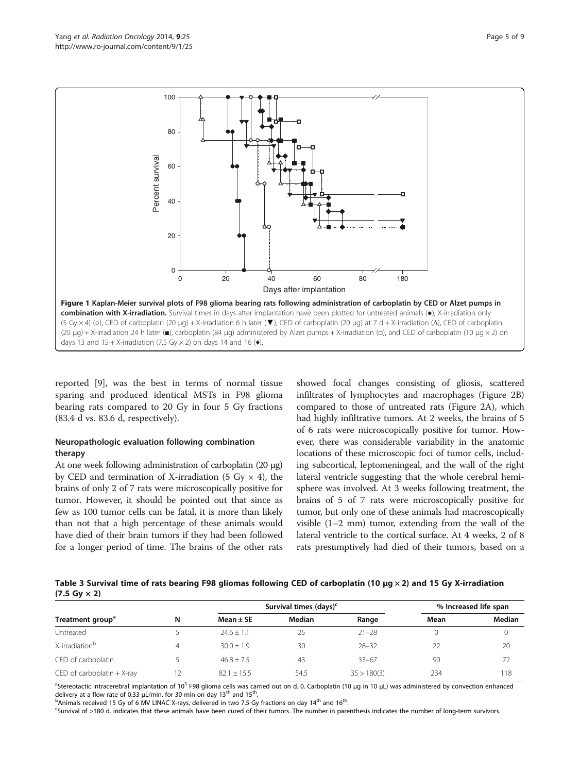<span id="page-4-0"></span>

reported [\[9](#page-7-0)], was the best in terms of normal tissue sparing and produced identical MSTs in F98 glioma bearing rats compared to 20 Gy in four 5 Gy fractions (83.4 d vs. 83.6 d, respectively).

## Neuropathologic evaluation following combination therapy

At one week following administration of carboplatin (20 μg) by CED and termination of X-irradiation (5 Gy  $\times$  4), the brains of only 2 of 7 rats were microscopically positive for tumor. However, it should be pointed out that since as few as 100 tumor cells can be fatal, it is more than likely than not that a high percentage of these animals would have died of their brain tumors if they had been followed for a longer period of time. The brains of the other rats

showed focal changes consisting of gliosis, scattered infiltrates of lymphocytes and macrophages (Figure [2B](#page-5-0)) compared to those of untreated rats (Figure [2](#page-5-0)A), which had highly infiltrative tumors. At 2 weeks, the brains of 5 of 6 rats were microscopically positive for tumor. However, there was considerable variability in the anatomic locations of these microscopic foci of tumor cells, including subcortical, leptomeningeal, and the wall of the right lateral ventricle suggesting that the whole cerebral hemisphere was involved. At 3 weeks following treatment, the brains of 5 of 7 rats were microscopically positive for tumor, but only one of these animals had macroscopically visible (1–2 mm) tumor, extending from the wall of the lateral ventricle to the cortical surface. At 4 weeks, 2 of 8 rats presumptively had died of their tumors, based on a

Table 3 Survival time of rats bearing F98 gliomas following CED of carboplatin (10 μg × 2) and 15 Gy X-irradiation  $(7.5 \text{ Gy} \times 2)$ 

|                               |   | Survival times (days) <sup>c</sup> |        |             | % Increased life span |        |
|-------------------------------|---|------------------------------------|--------|-------------|-----------------------|--------|
| Treatment group <sup>a</sup>  | N | Mean $\pm$ SE                      | Median | Range       | Mean<br>90<br>234     | Median |
| Untreated                     |   | $74.6 + 1.1$                       | 25     | $21 - 28$   |                       |        |
| X-irradiation <sup>b</sup>    |   | $30.0 + 1.9$                       | 30     | $28 - 32$   |                       | 20     |
| CED of carboplatin            |   | $46.8 + 7.5$                       | 43     | $33 - 67$   |                       | 72     |
| CED of carboplatin $+ X$ -ray |   | $82.1 + 15.5$                      | 54.5   | 35 > 180(3) |                       | 118    |

<sup>a</sup>Stereotactic intracerebral implantation of 10<sup>3</sup> F98 glioma cells was carried out on d. 0. Carboplatin (10 μg in 10 μL) was administered by convection enhanced delivery at a flow rate of 0.33  $\mu$ L/min. for 30 min on day 13<sup>th</sup> and 15<sup>t</sup>

 $b$ Animals received 15 Gy of 6 MV LINAC X-rays, delivered in two 7.5 Gy fractions on day 14<sup>th</sup> and 16<sup>th</sup>.

Survival of >180 d. indicates that these animals have been cured of their tumors. The number in parenthesis indicates the number of long-term survivors.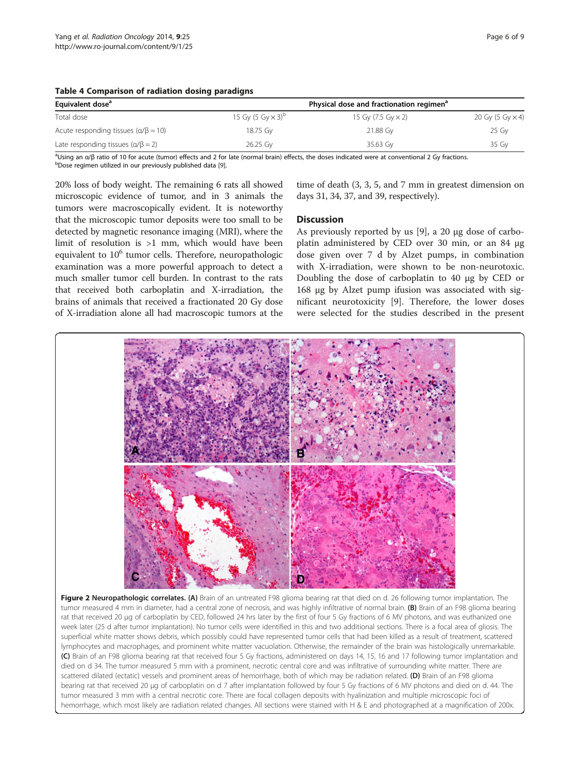| Equivalent dose <sup>a</sup>                     |                                      | Physical dose and fractionation regimen <sup>a</sup> |                         |
|--------------------------------------------------|--------------------------------------|------------------------------------------------------|-------------------------|
| Total dose                                       | 15 Gy (5 Gy $\times$ 3) <sup>D</sup> | 15 Gy (7.5 Gy $\times$ 2)                            | 20 Gy (5 Gy $\times$ 4) |
| Acute responding tissues ( $\alpha/\beta = 10$ ) | 18.75 Gv                             | 21.88 Gv                                             | 25 Gy                   |
| Late responding tissues $(\alpha/\beta = 2)$     | 26.25 Gy                             | 35.63 Gy                                             | 35 Gy                   |

#### <span id="page-5-0"></span>Table 4 Comparison of radiation dosing paradigns

<sup>a</sup>Using an α/β ratio of 10 for acute (tumor) effects and 2 for late (normal brain) effects, the doses indicated were at conventional 2 Gy fractions.<br><sup>b</sup>Dose regimen utilized in our previously published data [9] bDose regimen utilized in our previously published data [\[9\]](#page-7-0).

20% loss of body weight. The remaining 6 rats all showed microscopic evidence of tumor, and in 3 animals the tumors were macroscopically evident. It is noteworthy that the microscopic tumor deposits were too small to be detected by magnetic resonance imaging (MRI), where the limit of resolution is >1 mm, which would have been equivalent to  $10^6$  tumor cells. Therefore, neuropathologic examination was a more powerful approach to detect a much smaller tumor cell burden. In contrast to the rats that received both carboplatin and X-irradiation, the brains of animals that received a fractionated 20 Gy dose of X-irradiation alone all had macroscopic tumors at the

time of death (3, 3, 5, and 7 mm in greatest dimension on days 31, 34, 37, and 39, respectively).

#### **Discussion**

As previously reported by us [[9\]](#page-7-0), a 20 μg dose of carboplatin administered by CED over 30 min, or an 84 μg dose given over 7 d by Alzet pumps, in combination with X-irradiation, were shown to be non-neurotoxic. Doubling the dose of carboplatin to 40 μg by CED or 168 μg by Alzet pump ifusion was associated with significant neurotoxicity [[9](#page-7-0)]. Therefore, the lower doses were selected for the studies described in the present



superficial white matter shows debris, which possibly could have represented tumor cells that had been killed as a result of treatment, scattered lymphocytes and macrophages, and prominent white matter vacuolation. Otherwise, the remainder of the brain was histologically unremarkable. (C) Brain of an F98 glioma bearing rat that received four 5 Gy fractions, administered on days 14, 15, 16 and 17 following tumor implantation and died on d 34. The tumor measured 5 mm with a prominent, necrotic central core and was infiltrative of surrounding white matter. There are scattered dilated (ectatic) vessels and prominent areas of hemorrhage, both of which may be radiation related. (D) Brain of an F98 glioma bearing rat that received 20 μg of carboplatin on d 7 after implantation followed by four 5 Gy fractions of 6 MV photons and died on d. 44. The tumor measured 3 mm with a central necrotic core. There are focal collagen deposits with hyalinization and multiple microscopic foci of hemorrhage, which most likely are radiation related changes. All sections were stained with H & E and photographed at a magnification of 200x.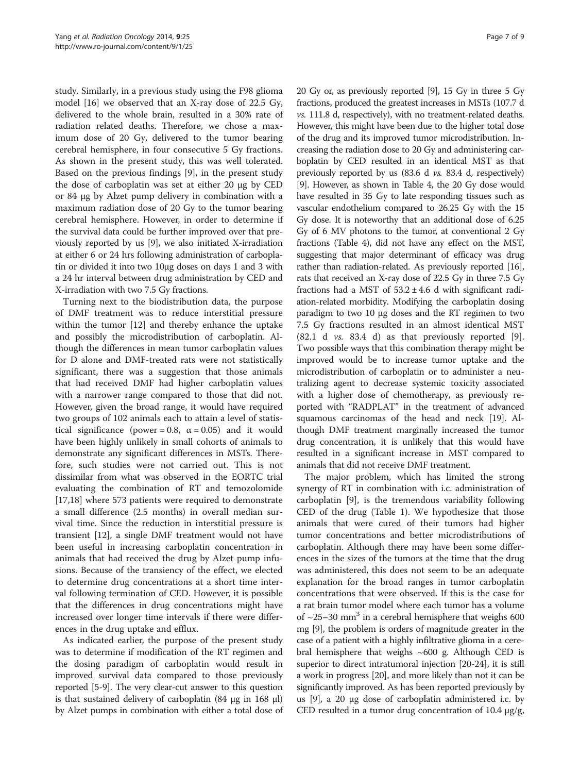study. Similarly, in a previous study using the F98 glioma model [\[16](#page-7-0)] we observed that an X-ray dose of 22.5 Gy, delivered to the whole brain, resulted in a 30% rate of radiation related deaths. Therefore, we chose a maximum dose of 20 Gy, delivered to the tumor bearing cerebral hemisphere, in four consecutive 5 Gy fractions. As shown in the present study, this was well tolerated. Based on the previous findings [[9\]](#page-7-0), in the present study the dose of carboplatin was set at either 20 μg by CED or 84 μg by Alzet pump delivery in combination with a maximum radiation dose of 20 Gy to the tumor bearing cerebral hemisphere. However, in order to determine if the survival data could be further improved over that previously reported by us [[9\]](#page-7-0), we also initiated X-irradiation at either 6 or 24 hrs following administration of carboplatin or divided it into two 10μg doses on days 1 and 3 with a 24 hr interval between drug administration by CED and X-irradiation with two 7.5 Gy fractions.

Turning next to the biodistribution data, the purpose of DMF treatment was to reduce interstitial pressure within the tumor [[12\]](#page-7-0) and thereby enhance the uptake and possibly the microdistribution of carboplatin. Although the differences in mean tumor carboplatin values for D alone and DMF-treated rats were not statistically significant, there was a suggestion that those animals that had received DMF had higher carboplatin values with a narrower range compared to those that did not. However, given the broad range, it would have required two groups of 102 animals each to attain a level of statistical significance (power = 0.8,  $\alpha$  = 0.05) and it would have been highly unlikely in small cohorts of animals to demonstrate any significant differences in MSTs. Therefore, such studies were not carried out. This is not dissimilar from what was observed in the EORTC trial evaluating the combination of RT and temozolomide [[17,18\]](#page-7-0) where 573 patients were required to demonstrate a small difference (2.5 months) in overall median survival time. Since the reduction in interstitial pressure is transient [[12\]](#page-7-0), a single DMF treatment would not have been useful in increasing carboplatin concentration in animals that had received the drug by Alzet pump infusions. Because of the transiency of the effect, we elected to determine drug concentrations at a short time interval following termination of CED. However, it is possible that the differences in drug concentrations might have increased over longer time intervals if there were differences in the drug uptake and efflux.

As indicated earlier, the purpose of the present study was to determine if modification of the RT regimen and the dosing paradigm of carboplatin would result in improved survival data compared to those previously reported [\[5-9\]](#page-7-0). The very clear-cut answer to this question is that sustained delivery of carboplatin (84 μg in 168 μl) by Alzet pumps in combination with either a total dose of 20 Gy or, as previously reported [\[9\]](#page-7-0), 15 Gy in three 5 Gy fractions, produced the greatest increases in MSTs (107.7 d vs. 111.8 d, respectively), with no treatment-related deaths. However, this might have been due to the higher total dose of the drug and its improved tumor microdistribution. Increasing the radiation dose to 20 Gy and administering carboplatin by CED resulted in an identical MST as that previously reported by us (83.6 d vs. 83.4 d, respectively) [[9](#page-7-0)]. However, as shown in Table [4](#page-5-0), the 20 Gy dose would have resulted in 35 Gy to late responding tissues such as vascular endothelium compared to 26.25 Gy with the 15 Gy dose. It is noteworthy that an additional dose of 6.25 Gy of 6 MV photons to the tumor, at conventional 2 Gy fractions (Table [4](#page-5-0)), did not have any effect on the MST, suggesting that major determinant of efficacy was drug rather than radiation-related. As previously reported [[16](#page-7-0)], rats that received an X-ray dose of 22.5 Gy in three 7.5 Gy fractions had a MST of  $53.2 \pm 4.6$  d with significant radiation-related morbidity. Modifying the carboplatin dosing paradigm to two 10 μg doses and the RT regimen to two 7.5 Gy fractions resulted in an almost identical MST  $(82.1 \text{ d } \nu s. 83.4 \text{ d})$  as that previously reported [\[9](#page-7-0)]. Two possible ways that this combination therapy might be improved would be to increase tumor uptake and the microdistribution of carboplatin or to administer a neutralizing agent to decrease systemic toxicity associated with a higher dose of chemotherapy, as previously reported with "RADPLAT" in the treatment of advanced squamous carcinomas of the head and neck [\[19\]](#page-8-0). Although DMF treatment marginally increased the tumor drug concentration, it is unlikely that this would have resulted in a significant increase in MST compared to animals that did not receive DMF treatment.

The major problem, which has limited the strong synergy of RT in combination with i.c. administration of carboplatin [[9\]](#page-7-0), is the tremendous variability following CED of the drug (Table [1\)](#page-3-0). We hypothesize that those animals that were cured of their tumors had higher tumor concentrations and better microdistributions of carboplatin. Although there may have been some differences in the sizes of the tumors at the time that the drug was administered, this does not seem to be an adequate explanation for the broad ranges in tumor carboplatin concentrations that were observed. If this is the case for a rat brain tumor model where each tumor has a volume of  $\sim$ 25–30 mm<sup>3</sup> in a cerebral hemisphere that weighs 600 mg [[9](#page-7-0)], the problem is orders of magnitude greater in the case of a patient with a highly infiltrative glioma in a cerebral hemisphere that weighs ~600 g. Although CED is superior to direct intratumoral injection [\[20](#page-8-0)-[24](#page-8-0)], it is still a work in progress [[20](#page-8-0)], and more likely than not it can be significantly improved. As has been reported previously by us [\[9](#page-7-0)], a 20 μg dose of carboplatin administered i.c. by CED resulted in a tumor drug concentration of 10.4 μg/g,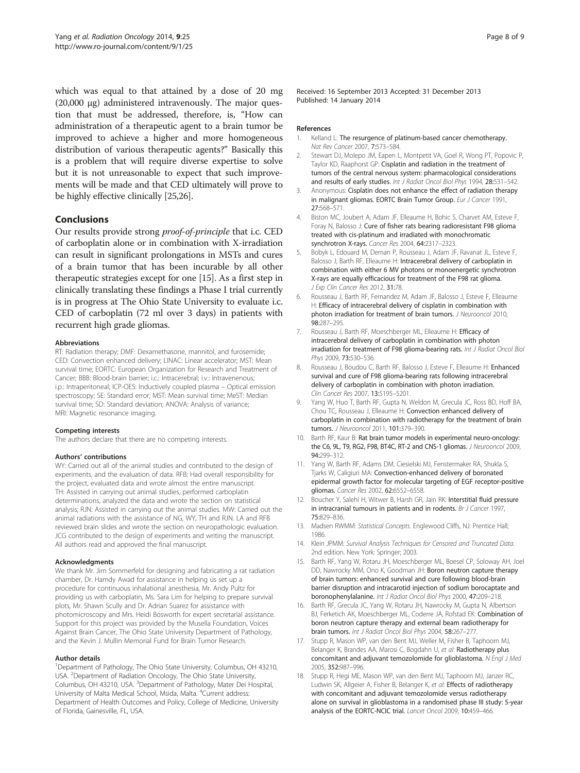<span id="page-7-0"></span>which was equal to that attained by a dose of 20 mg (20,000 μg) administered intravenously. The major question that must be addressed, therefore, is, "How can administration of a therapeutic agent to a brain tumor be improved to achieve a higher and more homogeneous distribution of various therapeutic agents?" Basically this is a problem that will require diverse expertise to solve but it is not unreasonable to expect that such improvements will be made and that CED ultimately will prove to be highly effective clinically [[25](#page-8-0),[26](#page-8-0)].

## Conclusions

Our results provide strong proof-of-principle that i.c. CED of carboplatin alone or in combination with X-irradiation can result in significant prolongations in MSTs and cures of a brain tumor that has been incurable by all other therapeutic strategies except for one [15]. As a first step in clinically translating these findings a Phase I trial currently is in progress at The Ohio State University to evaluate i.c. CED of carboplatin (72 ml over 3 days) in patients with recurrent high grade gliomas.

#### Abbreviations

RT: Radiation therapy; DMF: Dexamethasone, mannitol, and furosemide; CED: Convection enhanced delivery; LINAC: Linear accelerator; MST: Mean survival time; EORTC: European Organization for Research and Treatment of Cancer; BBB: Blood-brain barrier; i.c.: Intracerebral; i.v.: Intravenenous; i.p.: Intraperitoneal; ICP-OES: Inductively coupled plasma – Optical emission spectroscopy; SE: Standard error; MST: Mean survival time; MeST: Median survival time; SD: Standard deviation; ANOVA: Analysis of variance; MRI: Magnetic resonance imaging.

#### Competing interests

The authors declare that there are no competing interests.

#### Authors' contributions

WY: Carried out all of the animal studies and contributed to the design of experiments, and the evaluation of data. RFB: Had overall responsibility for the project, evaluated data and wrote almost the entire manuscript. TH: Assisted in carrying out animal studies, performed carboplatin determinations, analyzed the data and wrote the section on statistical analysis; RJN: Assisted in carrying out the animal studies. MW: Carried out the animal radiations with the assistance of NG, WY, TH and RJN. LA and RFB reviewed brain slides and wrote the section on neuropathologic evaluation. JCG contributed to the design of experiments and writing the manuscript. All authors read and approved the final manuscript.

#### Acknowledgments

We thank Mr. Jim Sommerfeld for designing and fabricating a rat radiation chamber, Dr. Hamdy Awad for assistance in helping us set up a procedure for continuous inhalational anesthesia, Mr. Andy Pultz for providing us with carboplatin, Ms. Sara Lim for helping to prepare survival plots, Mr. Shawn Scully and Dr. Adrian Suarez for assistance with photomicroscopy and Mrs. Heidi Bosworth for expert secretarial assistance. Support for this project was provided by the Musella Foundation, Voices Against Brain Cancer, The Ohio State University Department of Pathology, and the Kevin J. Mullin Memorial Fund for Brain Tumor Research.

#### Author details

<sup>1</sup>Department of Pathology, The Ohio State University, Columbus, OH 43210, USA. <sup>2</sup>Department of Radiation Oncology, The Ohio State University, Columbus, OH 43210, USA. <sup>3</sup>Department of Pathology, Mater Dei Hospital, University of Malta Medical School, Msida, Malta. <sup>4</sup>Current address: Department of Health Outcomes and Policy, College of Medicine, University of Florida, Gainesville, FL, USA.

Received: 16 September 2013 Accepted: 31 December 2013 Published: 14 January 2014

#### References

- 1. Kelland L: The resurgence of platinum-based cancer chemotherapy. Nat Rev Cancer 2007, 7:573–584.
- 2. Stewart DJ, Molepo JM, Eapen L, Montpetit VA, Goel R, Wong PT, Popovic P, Taylor KD, Raaphorst GP: Cisplatin and radiation in the treatment of tumors of the central nervous system: pharmacological considerations and results of early studies. Int J Radiat Oncol Biol Phys 1994, 28:531-542.
- Anonymous: Cisplatin does not enhance the effect of radiation therapy in malignant gliomas. EORTC Brain Tumor Group. Eur J Cancer 1991, 27:568–571.
- 4. Biston MC, Joubert A, Adam JF, Elleaume H, Bohic S, Charvet AM, Esteve F, Foray N, Balosso J: Cure of fisher rats bearing radioresistant F98 glioma treated with cis-platinum and irradiated with monochromatic synchrotron X-rays. Cancer Res 2004, 64:2317–2323.
- 5. Bobyk L, Edouard M, Deman P, Rousseau J, Adam JF, Ravanat JL, Esteve F, Balosso J, Barth RF, Elleaume H: Intracerebral delivery of carboplatin in combination with either 6 MV photons or monoenergetic synchrotron X-rays are equally efficacious for treatment of the F98 rat glioma. J Exp Clin Cancer Res 2012, 31:78.
- 6. Rousseau J, Barth RF, Fernandez M, Adam JF, Balosso J, Esteve F, Elleaume H: Efficacy of intracerebral delivery of cisplatin in combination with photon irradiation for treatment of brain tumors. *J Neurooncol* 2010, 98:287–295.
- 7. Rousseau J, Barth RF, Moeschberger ML, Elleaume H: Efficacy of intracerebral delivery of carboplatin in combination with photon irradiation for treatment of F98 glioma-bearing rats. Int J Radiat Oncol Biol Phys 2009, 73:530–536.
- 8. Rousseau J, Boudou C, Barth RF, Balosso J, Esteve F, Elleaume H: Enhanced survival and cure of F98 glioma-bearing rats following intracerebral delivery of carboplatin in combination with photon irradiation. Clin Cancer Res 2007, 13:5195–5201.
- 9. Yang W, Huo T, Barth RF, Gupta N, Weldon M, Grecula JC, Ross BD, Hoff BA, Chou TC, Rousseau J, Elleaume H: Convection enhanced delivery of carboplatin in combination with radiotherapy for the treatment of brain tumors. J Neurooncol 2011, 101:379–390.
- 10. Barth RF, Kaur B: Rat brain tumor models in experimental neuro-oncology: the C6, 9L, T9, RG2, F98, BT4C, RT-2 and CNS-1 gliomas. J Neurooncol 2009, 94:299–312.
- 11. Yang W, Barth RF, Adams DM, Ciesielski MJ, Fenstermaker RA, Shukla S, Tjarks W, Caligiuri MA: Convection-enhanced delivery of boronated epidermal growth factor for molecular targeting of EGF receptor-positive gliomas. Cancer Res 2002, 62:6552–6558.
- 12. Boucher Y, Salehi H, Witwer B, Harsh GR, Jain RK: Interstitial fluid pressure in intracranial tumours in patients and in rodents. Br J Cancer 1997, 75:829–836.
- 13. Madsen RWMM: Statistical Concepts. Englewood Cliffs, NJ: Prentice Hall; 1986.
- 14. Klein JPMM: Survival Analysis Techniques for Censored and Truncated Data. 2nd edition. New York: Springer; 2003.
- 15. Barth RF, Yang W, Rotaru JH, Moeschberger ML, Boesel CP, Soloway AH, Joel DD, Nawrocky MM, Ono K, Goodman JH: Boron neutron capture therapy of brain tumors: enhanced survival and cure following blood-brain barrier disruption and intracarotid injection of sodium borocaptate and boronophenylalanine. Int J Radiat Oncol Biol Phys 2000, 47:209–218.
- 16. Barth RF, Grecula JC, Yang W, Rotaru JH, Nawrocky M, Gupta N, Albertson BJ, Ferketich AK, Moeschberger ML, Coderre JA, Rofstad EK: Combination of boron neutron capture therapy and external beam radiotherapy for brain tumors. Int J Radiat Oncol Biol Phys 2004, 58:267–277.
- 17. Stupp R, Mason WP, van den Bent MJ, Weller M, Fisher B, Taphoorn MJ, Belanger K, Brandes AA, Marosi C, Bogdahn U, et al: Radiotherapy plus concomitant and adjuvant temozolomide for glioblastoma. N Engl J Med 2005, 352:987–996.
- 18. Stupp R, Hegi ME, Mason WP, van den Bent MJ, Taphoorn MJ, Janzer RC, Ludwin SK, Allgeier A, Fisher B, Belanger K, et al: Effects of radiotherapy with concomitant and adjuvant temozolomide versus radiotherapy alone on survival in glioblastoma in a randomised phase III study: 5-year analysis of the EORTC-NCIC trial. Lancet Oncol 2009, 10:459–466.